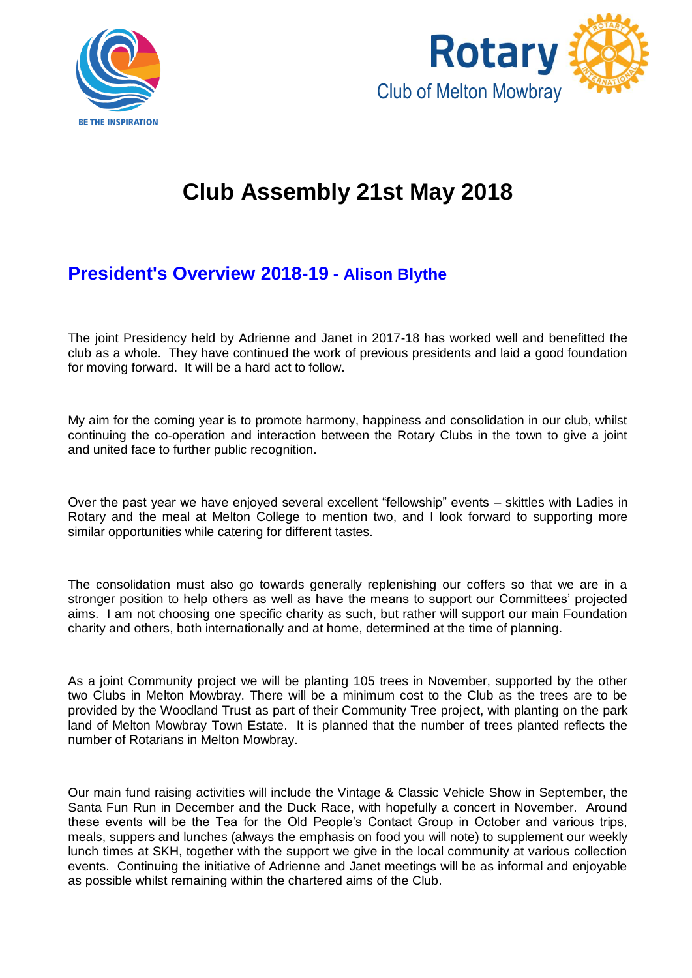



# **Club Assembly 21st May 2018**

# **President's Overview 2018-19 - Alison Blythe**

The joint Presidency held by Adrienne and Janet in 2017-18 has worked well and benefitted the club as a whole. They have continued the work of previous presidents and laid a good foundation for moving forward. It will be a hard act to follow.

My aim for the coming year is to promote harmony, happiness and consolidation in our club, whilst continuing the co-operation and interaction between the Rotary Clubs in the town to give a joint and united face to further public recognition.

Over the past year we have enjoyed several excellent "fellowship" events – skittles with Ladies in Rotary and the meal at Melton College to mention two, and I look forward to supporting more similar opportunities while catering for different tastes.

The consolidation must also go towards generally replenishing our coffers so that we are in a stronger position to help others as well as have the means to support our Committees' projected aims. I am not choosing one specific charity as such, but rather will support our main Foundation charity and others, both internationally and at home, determined at the time of planning.

As a joint Community project we will be planting 105 trees in November, supported by the other two Clubs in Melton Mowbray. There will be a minimum cost to the Club as the trees are to be provided by the Woodland Trust as part of their Community Tree project, with planting on the park land of Melton Mowbray Town Estate. It is planned that the number of trees planted reflects the number of Rotarians in Melton Mowbray.

Our main fund raising activities will include the Vintage & Classic Vehicle Show in September, the Santa Fun Run in December and the Duck Race, with hopefully a concert in November. Around these events will be the Tea for the Old People's Contact Group in October and various trips, meals, suppers and lunches (always the emphasis on food you will note) to supplement our weekly lunch times at SKH, together with the support we give in the local community at various collection events. Continuing the initiative of Adrienne and Janet meetings will be as informal and enjoyable as possible whilst remaining within the chartered aims of the Club.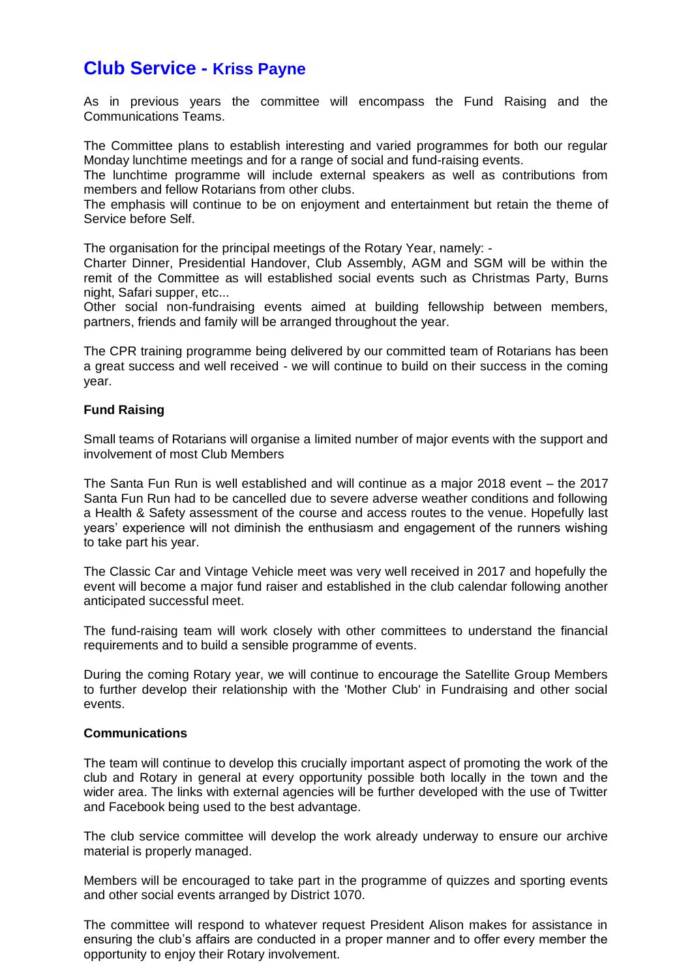## **Club Service - Kriss Payne**

As in previous years the committee will encompass the Fund Raising and the Communications Teams.

The Committee plans to establish interesting and varied programmes for both our regular Monday lunchtime meetings and for a range of social and fund-raising events.

The lunchtime programme will include external speakers as well as contributions from members and fellow Rotarians from other clubs.

The emphasis will continue to be on enjoyment and entertainment but retain the theme of Service before Self.

The organisation for the principal meetings of the Rotary Year, namely: -

Charter Dinner, Presidential Handover, Club Assembly, AGM and SGM will be within the remit of the Committee as will established social events such as Christmas Party, Burns night, Safari supper, etc...

Other social non-fundraising events aimed at building fellowship between members, partners, friends and family will be arranged throughout the year.

The CPR training programme being delivered by our committed team of Rotarians has been a great success and well received - we will continue to build on their success in the coming year.

#### **Fund Raising**

Small teams of Rotarians will organise a limited number of major events with the support and involvement of most Club Members

The Santa Fun Run is well established and will continue as a major 2018 event – the 2017 Santa Fun Run had to be cancelled due to severe adverse weather conditions and following a Health & Safety assessment of the course and access routes to the venue. Hopefully last years' experience will not diminish the enthusiasm and engagement of the runners wishing to take part his year.

The Classic Car and Vintage Vehicle meet was very well received in 2017 and hopefully the event will become a major fund raiser and established in the club calendar following another anticipated successful meet.

The fund-raising team will work closely with other committees to understand the financial requirements and to build a sensible programme of events.

During the coming Rotary year, we will continue to encourage the Satellite Group Members to further develop their relationship with the 'Mother Club' in Fundraising and other social events.

#### **Communications**

The team will continue to develop this crucially important aspect of promoting the work of the club and Rotary in general at every opportunity possible both locally in the town and the wider area. The links with external agencies will be further developed with the use of Twitter and Facebook being used to the best advantage.

The club service committee will develop the work already underway to ensure our archive material is properly managed.

Members will be encouraged to take part in the programme of quizzes and sporting events and other social events arranged by District 1070.

The committee will respond to whatever request President Alison makes for assistance in ensuring the club's affairs are conducted in a proper manner and to offer every member the opportunity to enjoy their Rotary involvement.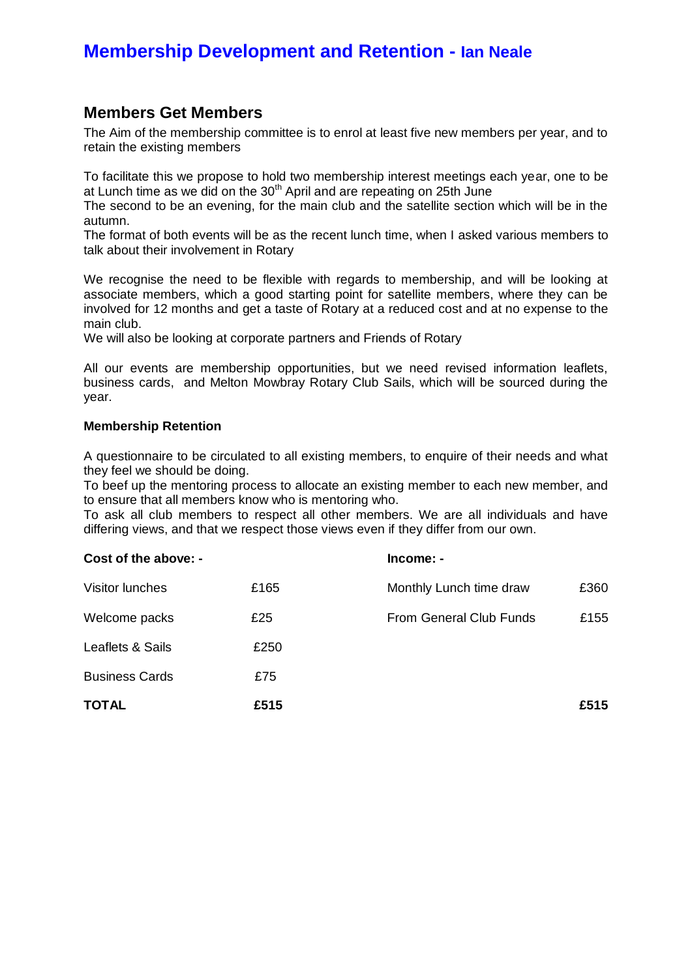# **Membership Development and Retention - Ian Neale**

#### **Members Get Members**

The Aim of the membership committee is to enrol at least five new members per year, and to retain the existing members

To facilitate this we propose to hold two membership interest meetings each year, one to be at Lunch time as we did on the  $30<sup>th</sup>$  April and are repeating on 25th June

The second to be an evening, for the main club and the satellite section which will be in the autumn.

The format of both events will be as the recent lunch time, when I asked various members to talk about their involvement in Rotary

We recognise the need to be flexible with regards to membership, and will be looking at associate members, which a good starting point for satellite members, where they can be involved for 12 months and get a taste of Rotary at a reduced cost and at no expense to the main club.

We will also be looking at corporate partners and Friends of Rotary

All our events are membership opportunities, but we need revised information leaflets, business cards, and Melton Mowbray Rotary Club Sails, which will be sourced during the year.

#### **Membership Retention**

A questionnaire to be circulated to all existing members, to enquire of their needs and what they feel we should be doing.

To beef up the mentoring process to allocate an existing member to each new member, and to ensure that all members know who is mentoring who.

To ask all club members to respect all other members. We are all individuals and have differing views, and that we respect those views even if they differ from our own.

| Cost of the above: -  |      | Income: -               |      |
|-----------------------|------|-------------------------|------|
| Visitor lunches       | £165 | Monthly Lunch time draw | £360 |
| Welcome packs         | £25  | From General Club Funds | £155 |
| Leaflets & Sails      | £250 |                         |      |
| <b>Business Cards</b> | £75  |                         |      |
| <b>TOTAL</b>          | £515 |                         | £515 |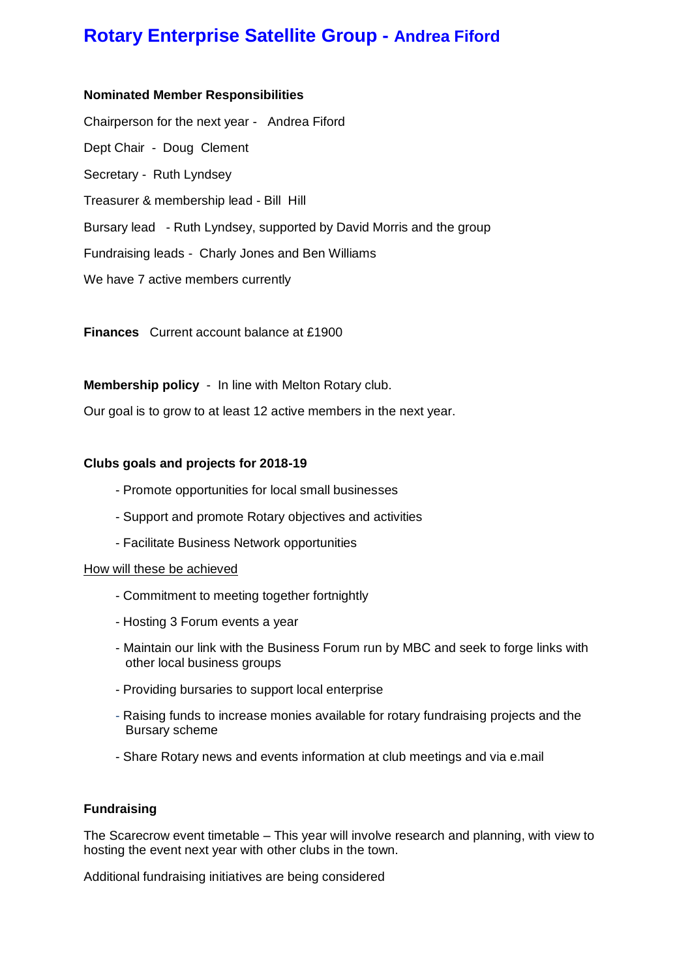# **Rotary Enterprise Satellite Group - Andrea Fiford**

#### **Nominated Member Responsibilities**

Chairperson for the next year - Andrea Fiford Dept Chair - Doug Clement Secretary - Ruth Lyndsey Treasurer & membership lead - Bill Hill Bursary lead - Ruth Lyndsey, supported by David Morris and the group Fundraising leads - Charly Jones and Ben Williams We have 7 active members currently

**Finances** Current account balance at £1900

**Membership policy** - In line with Melton Rotary club.

Our goal is to grow to at least 12 active members in the next year.

#### **Clubs goals and projects for 2018-19**

- Promote opportunities for local small businesses
- Support and promote Rotary objectives and activities
- Facilitate Business Network opportunities

#### How will these be achieved

- Commitment to meeting together fortnightly
- Hosting 3 Forum events a year
- Maintain our link with the Business Forum run by MBC and seek to forge links with other local business groups
- Providing bursaries to support local enterprise
- Raising funds to increase monies available for rotary fundraising projects and the Bursary scheme
- Share Rotary news and events information at club meetings and via e.mail

#### **Fundraising**

The Scarecrow event timetable – This year will involve research and planning, with view to hosting the event next year with other clubs in the town.

Additional fundraising initiatives are being considered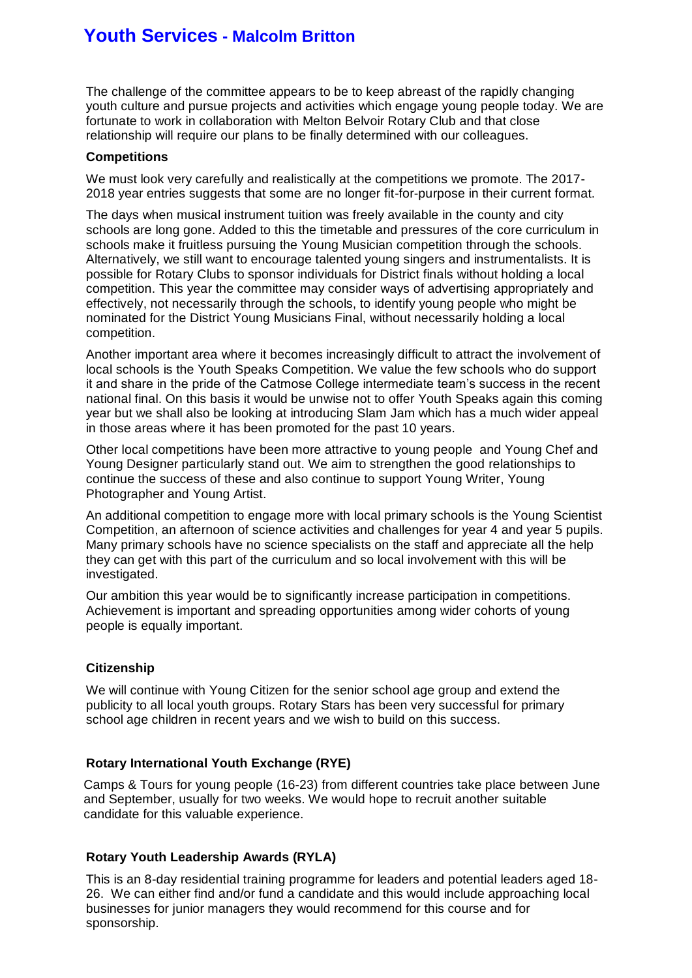# **Youth Services - Malcolm Britton**

The challenge of the committee appears to be to keep abreast of the rapidly changing youth culture and pursue projects and activities which engage young people today. We are fortunate to work in collaboration with Melton Belvoir Rotary Club and that close relationship will require our plans to be finally determined with our colleagues.

#### **Competitions**

We must look very carefully and realistically at the competitions we promote. The 2017- 2018 year entries suggests that some are no longer fit-for-purpose in their current format.

The days when musical instrument tuition was freely available in the county and city schools are long gone. Added to this the timetable and pressures of the core curriculum in schools make it fruitless pursuing the Young Musician competition through the schools. Alternatively, we still want to encourage talented young singers and instrumentalists. It is possible for Rotary Clubs to sponsor individuals for District finals without holding a local competition. This year the committee may consider ways of advertising appropriately and effectively, not necessarily through the schools, to identify young people who might be nominated for the District Young Musicians Final, without necessarily holding a local competition.

Another important area where it becomes increasingly difficult to attract the involvement of local schools is the Youth Speaks Competition. We value the few schools who do support it and share in the pride of the Catmose College intermediate team's success in the recent national final. On this basis it would be unwise not to offer Youth Speaks again this coming year but we shall also be looking at introducing Slam Jam which has a much wider appeal in those areas where it has been promoted for the past 10 years.

Other local competitions have been more attractive to young people and Young Chef and Young Designer particularly stand out. We aim to strengthen the good relationships to continue the success of these and also continue to support Young Writer, Young Photographer and Young Artist.

An additional competition to engage more with local primary schools is the Young Scientist Competition, an afternoon of science activities and challenges for year 4 and year 5 pupils. Many primary schools have no science specialists on the staff and appreciate all the help they can get with this part of the curriculum and so local involvement with this will be investigated.

Our ambition this year would be to significantly increase participation in competitions. Achievement is important and spreading opportunities among wider cohorts of young people is equally important.

#### **Citizenship**

We will continue with Young Citizen for the senior school age group and extend the publicity to all local youth groups. Rotary Stars has been very successful for primary school age children in recent years and we wish to build on this success.

#### **Rotary International Youth Exchange (RYE)**

Camps & Tours for young people (16-23) from different countries take place between June and September, usually for two weeks. We would hope to recruit another suitable candidate for this valuable experience.

#### **Rotary Youth Leadership Awards (RYLA)**

This is an 8-day residential training programme for leaders and potential leaders aged 18- 26. We can either find and/or fund a candidate and this would include approaching local businesses for junior managers they would recommend for this course and for sponsorship.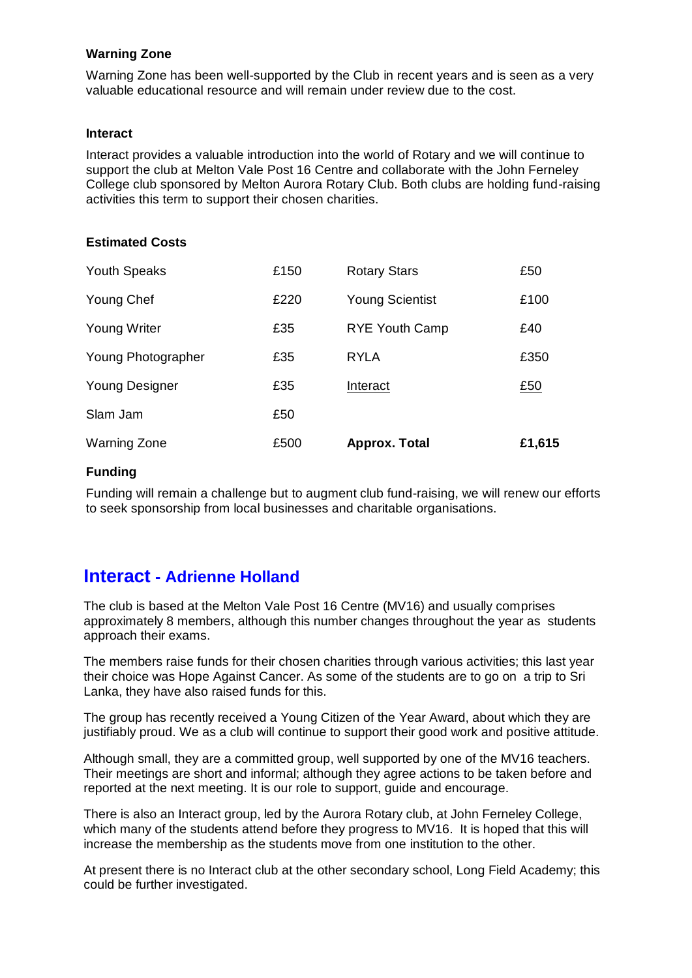#### **Warning Zone**

Warning Zone has been well-supported by the Club in recent years and is seen as a very valuable educational resource and will remain under review due to the cost.

#### **Interact**

Interact provides a valuable introduction into the world of Rotary and we will continue to support the club at Melton Vale Post 16 Centre and collaborate with the John Ferneley College club sponsored by Melton Aurora Rotary Club. Both clubs are holding fund-raising activities this term to support their chosen charities.

#### **Estimated Costs**

| <b>Warning Zone</b>   | £500 | Approx. Total          | £1,615 |
|-----------------------|------|------------------------|--------|
| Slam Jam              | £50  |                        |        |
| <b>Young Designer</b> | £35  | Interact               | £50    |
| Young Photographer    | £35  | <b>RYLA</b>            | £350   |
| <b>Young Writer</b>   | £35  | <b>RYE Youth Camp</b>  | £40    |
| Young Chef            | £220 | <b>Young Scientist</b> | £100   |
| <b>Youth Speaks</b>   | £150 | <b>Rotary Stars</b>    | £50    |

#### **Funding**

Funding will remain a challenge but to augment club fund-raising, we will renew our efforts to seek sponsorship from local businesses and charitable organisations.

### **Interact - Adrienne Holland**

The club is based at the Melton Vale Post 16 Centre (MV16) and usually comprises approximately 8 members, although this number changes throughout the year as students approach their exams.

The members raise funds for their chosen charities through various activities; this last year their choice was Hope Against Cancer. As some of the students are to go on a trip to Sri Lanka, they have also raised funds for this.

The group has recently received a Young Citizen of the Year Award, about which they are justifiably proud. We as a club will continue to support their good work and positive attitude.

Although small, they are a committed group, well supported by one of the MV16 teachers. Their meetings are short and informal; although they agree actions to be taken before and reported at the next meeting. It is our role to support, guide and encourage.

There is also an Interact group, led by the Aurora Rotary club, at John Ferneley College, which many of the students attend before they progress to MV16. It is hoped that this will increase the membership as the students move from one institution to the other.

At present there is no Interact club at the other secondary school, Long Field Academy; this could be further investigated.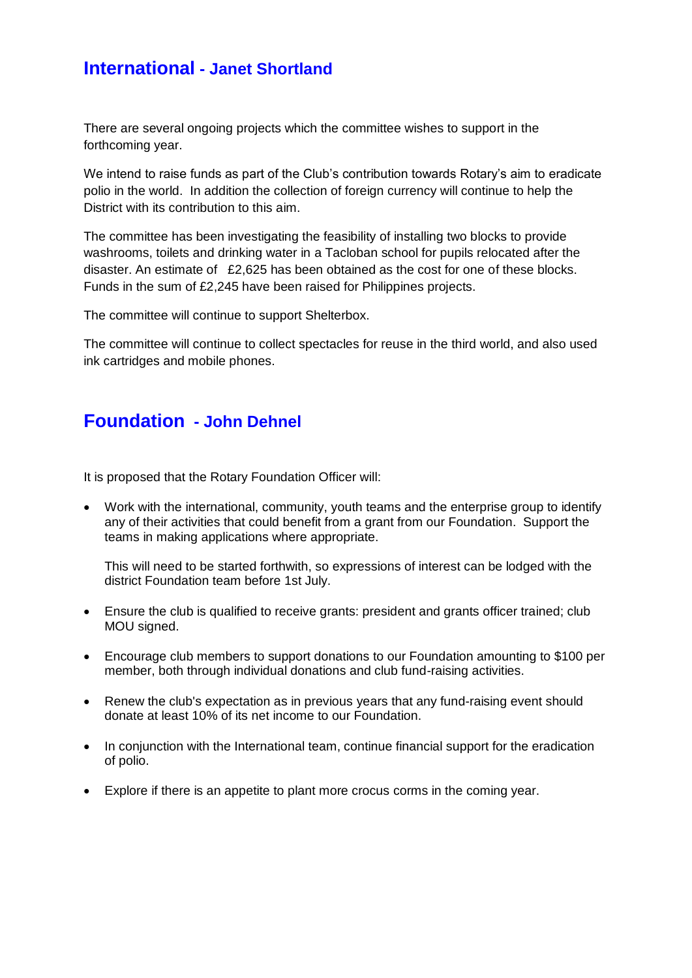## **International - Janet Shortland**

There are several ongoing projects which the committee wishes to support in the forthcoming year.

We intend to raise funds as part of the Club's contribution towards Rotary's aim to eradicate polio in the world. In addition the collection of foreign currency will continue to help the District with its contribution to this aim.

The committee has been investigating the feasibility of installing two blocks to provide washrooms, toilets and drinking water in a Tacloban school for pupils relocated after the disaster. An estimate of £2,625 has been obtained as the cost for one of these blocks. Funds in the sum of £2,245 have been raised for Philippines projects.

The committee will continue to support Shelterbox.

The committee will continue to collect spectacles for reuse in the third world, and also used ink cartridges and mobile phones.

# **Foundation - John Dehnel**

It is proposed that the Rotary Foundation Officer will:

 Work with the international, community, youth teams and the enterprise group to identify any of their activities that could benefit from a grant from our Foundation. Support the teams in making applications where appropriate.

This will need to be started forthwith, so expressions of interest can be lodged with the district Foundation team before 1st July.

- Ensure the club is qualified to receive grants: president and grants officer trained; club MOU signed.
- Encourage club members to support donations to our Foundation amounting to \$100 per member, both through individual donations and club fund-raising activities.
- Renew the club's expectation as in previous years that any fund-raising event should donate at least 10% of its net income to our Foundation.
- In conjunction with the International team, continue financial support for the eradication of polio.
- Explore if there is an appetite to plant more crocus corms in the coming year.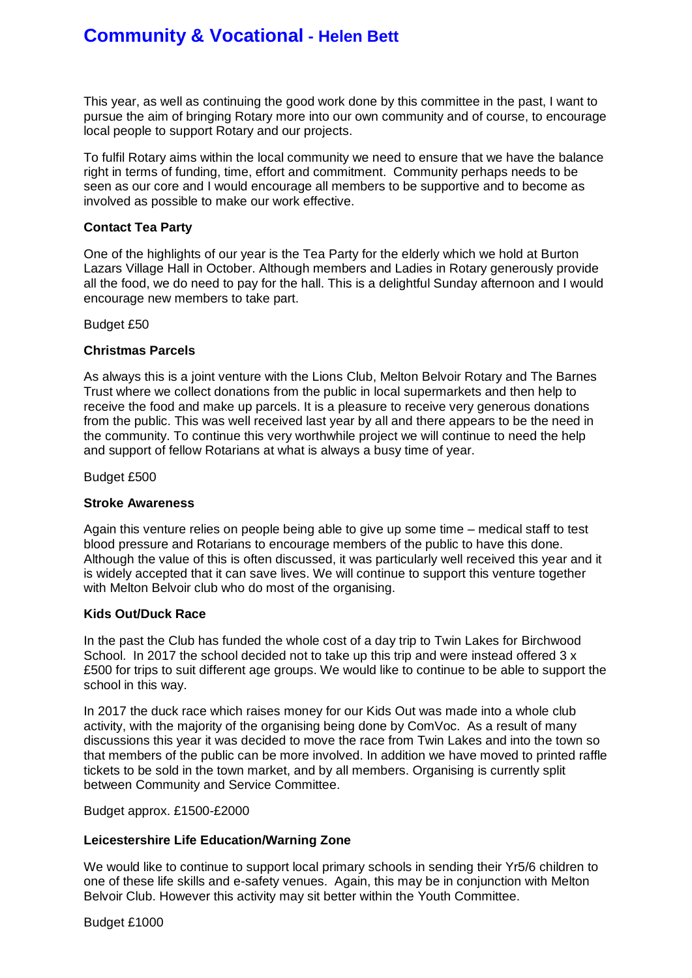# **Community & Vocational - Helen Bett**

This year, as well as continuing the good work done by this committee in the past, I want to pursue the aim of bringing Rotary more into our own community and of course, to encourage local people to support Rotary and our projects.

To fulfil Rotary aims within the local community we need to ensure that we have the balance right in terms of funding, time, effort and commitment. Community perhaps needs to be seen as our core and I would encourage all members to be supportive and to become as involved as possible to make our work effective.

#### **Contact Tea Party**

One of the highlights of our year is the Tea Party for the elderly which we hold at Burton Lazars Village Hall in October. Although members and Ladies in Rotary generously provide all the food, we do need to pay for the hall. This is a delightful Sunday afternoon and I would encourage new members to take part.

#### Budget £50

#### **Christmas Parcels**

As always this is a joint venture with the Lions Club, Melton Belvoir Rotary and The Barnes Trust where we collect donations from the public in local supermarkets and then help to receive the food and make up parcels. It is a pleasure to receive very generous donations from the public. This was well received last year by all and there appears to be the need in the community. To continue this very worthwhile project we will continue to need the help and support of fellow Rotarians at what is always a busy time of year.

Budget £500

#### **Stroke Awareness**

Again this venture relies on people being able to give up some time – medical staff to test blood pressure and Rotarians to encourage members of the public to have this done. Although the value of this is often discussed, it was particularly well received this year and it is widely accepted that it can save lives. We will continue to support this venture together with Melton Belvoir club who do most of the organising.

#### **Kids Out/Duck Race**

In the past the Club has funded the whole cost of a day trip to Twin Lakes for Birchwood School. In 2017 the school decided not to take up this trip and were instead offered 3 x £500 for trips to suit different age groups. We would like to continue to be able to support the school in this way.

In 2017 the duck race which raises money for our Kids Out was made into a whole club activity, with the majority of the organising being done by ComVoc. As a result of many discussions this year it was decided to move the race from Twin Lakes and into the town so that members of the public can be more involved. In addition we have moved to printed raffle tickets to be sold in the town market, and by all members. Organising is currently split between Community and Service Committee.

Budget approx. £1500-£2000

#### **Leicestershire Life Education/Warning Zone**

We would like to continue to support local primary schools in sending their Yr5/6 children to one of these life skills and e-safety venues. Again, this may be in conjunction with Melton Belvoir Club. However this activity may sit better within the Youth Committee.

Budget £1000